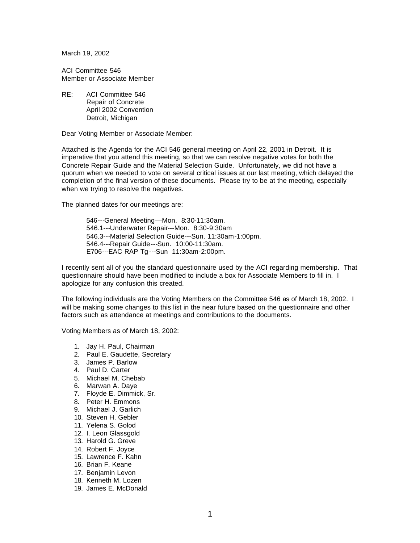March 19, 2002

ACI Committee 546 Member or Associate Member

RE: ACI Committee 546 Repair of Concrete April 2002 Convention Detroit, Michigan

Dear Voting Member or Associate Member:

Attached is the Agenda for the ACI 546 general meeting on April 22, 2001 in Detroit. It is imperative that you attend this meeting, so that we can resolve negative votes for both the Concrete Repair Guide and the Material Selection Guide. Unfortunately, we did not have a quorum when we needed to vote on several critical issues at our last meeting, which delayed the completion of the final version of these documents. Please try to be at the meeting, especially when we trying to resolve the negatives.

The planned dates for our meetings are:

546---General Meeting—Mon. 8:30-11:30am. 546.1---Underwater Repair---Mon. 8:30-9:30am 546.3---Material Selection Guide---Sun. 11:30am-1:00pm. 546.4---Repair Guide---Sun. 10:00-11:30am. E706---EAC RAP Tg ---Sun 11:30am-2:00pm.

I recently sent all of you the standard questionnaire used by the ACI regarding membership. That questionnaire should have been modified to include a box for Associate Members to fill in. I apologize for any confusion this created.

The following individuals are the Voting Members on the Committee 546 as of March 18, 2002. I will be making some changes to this list in the near future based on the questionnaire and other factors such as attendance at meetings and contributions to the documents.

Voting Members as of March 18, 2002:

- 1. Jay H. Paul, Chairman
- 2. Paul E. Gaudette, Secretary
- 3. James P. Barlow
- 4. Paul D. Carter
- 5. Michael M. Chebab
- 6. Marwan A. Daye
- 7. Floyde E. Dimmick, Sr.
- 8. Peter H. Emmons
- 9. Michael J. Garlich
- 10. Steven H. Gebler
- 11. Yelena S. Golod
- 12. I. Leon Glassgold
- 13. Harold G. Greve
- 14. Robert F. Joyce
- 15. Lawrence F. Kahn
- 16. Brian F. Keane
- 17. Benjamin Levon
- 18. Kenneth M. Lozen
- 19. James E. McDonald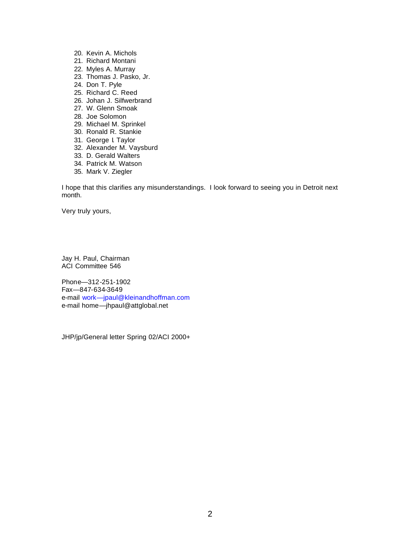- 20. Kevin A. Michols
- 21. Richard Montani
- 22. Myles A. Murray
- 23. Thomas J. Pasko, Jr.
- 24. Don T. Pyle
- 25. Richard C. Reed
- 26. Johan J. Silfwerbrand
- 27. W. Glenn Smoak
- 28. Joe Solomon
- 29. Michael M. Sprinkel
- 30. Ronald R. Stankie
- 31. George I. Taylor
- 32. Alexander M. Vaysburd
- 33. D. Gerald Walters
- 34. Patrick M. Watson
- 35. Mark V. Ziegler

I hope that this clarifies any misunderstandings. I look forward to seeing you in Detroit next month.

Very truly yours,

Jay H. Paul, Chairman ACI Committee 546

Phone—312-251-1902 Fax—847-634-3649 e-mail work—jpaul@kleinandhoffman.com e-mail home—jhpaul@attglobal.net

JHP/jp/General letter Spring 02/ACI 2000+